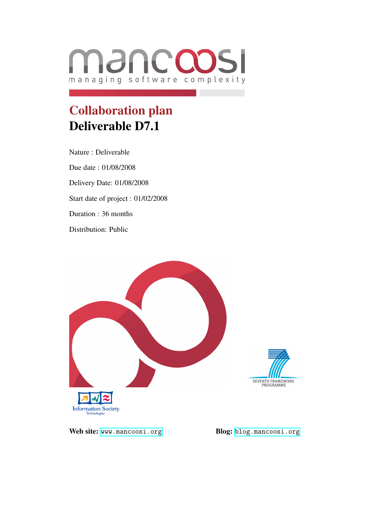

# Collaboration plan Deliverable D7.1

Nature : Deliverable Due date : 01/08/2008 Delivery Date: 01/08/2008 Start date of project : 01/02/2008 Duration : 36 months Distribution: Public





Web site: <www.mancoosi.org> Blog: <blog.mancoosi.org>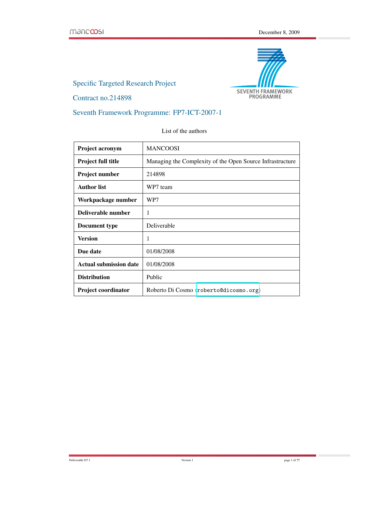

Specific Targeted Research Project

Contract no.214898

Seventh Framework Programme: FP7-ICT-2007-1

List of the authors

| <b>Project acronym</b>        | <b>MANCOOSI</b>                                           |
|-------------------------------|-----------------------------------------------------------|
| <b>Project full title</b>     | Managing the Complexity of the Open Source Infrastructure |
| Project number                | 214898                                                    |
| <b>Author list</b>            | WP7 team                                                  |
| Workpackage number            | WP7                                                       |
| Deliverable number            | 1                                                         |
| Document type                 | Deliverable                                               |
| Version                       | 1                                                         |
| Due date                      | 01/08/2008                                                |
| <b>Actual submission date</b> | 01/08/2008                                                |
| <b>Distribution</b>           | Public                                                    |
| <b>Project coordinator</b>    | Roberto Di Cosmo $\langle$ roberto@dicosmo.org $\rangle$  |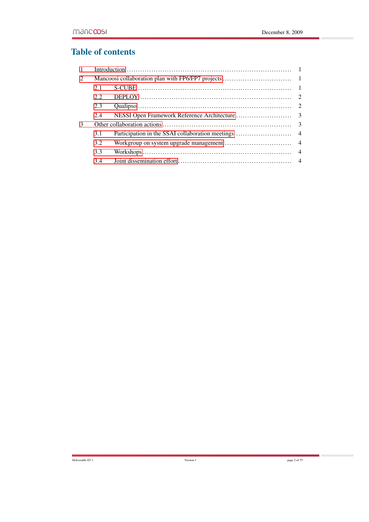## Table of contents

| 1 |      |  |  |
|---|------|--|--|
| 2 |      |  |  |
|   | 2.1  |  |  |
|   | 2.2. |  |  |
|   | 2.3  |  |  |
|   | 2.4  |  |  |
| 3 |      |  |  |
|   | 3.1  |  |  |
|   | 3.2  |  |  |
|   | 3.3  |  |  |
|   | 3.4  |  |  |
|   |      |  |  |

Deliverable D7.1 page 2 of ??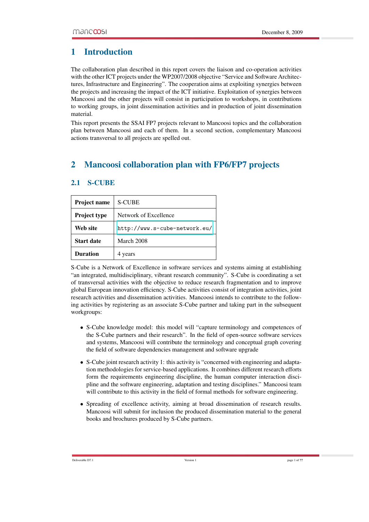### <span id="page-3-0"></span>1 Introduction

The collaboration plan described in this report covers the liaison and co-operation activities with the other ICT projects under the WP2007/2008 objective "Service and Software Architectures, Infrastructure and Engineering". The cooperation aims at exploiting synergies between the projects and increasing the impact of the ICT initiative. Exploitation of synergies between Mancoosi and the other projects will consist in participation to workshops, in contributions to working groups, in joint dissemination activities and in production of joint dissemination material.

This report presents the SSAI FP7 projects relevant to Mancoosi topics and the collaboration plan between Mancoosi and each of them. In a second section, complementary Mancoosi actions transversal to all projects are spelled out.

## <span id="page-3-1"></span>2 Mancoosi collaboration plan with FP6/FP7 projects

| <b>Project name</b> | <b>S-CUBE</b>                 |
|---------------------|-------------------------------|
| <b>Project type</b> | Network of Excellence         |
| Web site            | http://www.s-cube-network.eu/ |
| <b>Start date</b>   | March 2008                    |
| <b>Duration</b>     | 4 years                       |

#### <span id="page-3-2"></span>2.1 S-CUBE

S-Cube is a Network of Excellence in software services and systems aiming at establishing "an integrated, multidisciplinary, vibrant research community". S-Cube is coordinating a set of transversal activities with the objective to reduce research fragmentation and to improve global European innovation efficiency. S-Cube activities consist of integration activities, joint research activities and dissemination activities. Mancoosi intends to contribute to the following activities by registering as an associate S-Cube partner and taking part in the subsequent workgroups:

- S-Cube knowledge model: this model will "capture terminology and competences of the S-Cube partners and their research". In the field of open-source software services and systems, Mancoosi will contribute the terminology and conceptual graph covering the field of software dependencies management and software upgrade
- S-Cube joint research activity 1: this activity is "concerned with engineering and adaptation methodologies for service-based applications. It combines different research efforts form the requirements engineering discipline, the human computer interaction discipline and the software engineering, adaptation and testing disciplines." Mancoosi team will contribute to this activity in the field of formal methods for software engineering.
- Spreading of excellence activity, aiming at broad dissemination of research results. Mancoosi will submit for inclusion the produced dissemination material to the general books and brochures produced by S-Cube partners.

Deliverable D7.1 page 1 of ??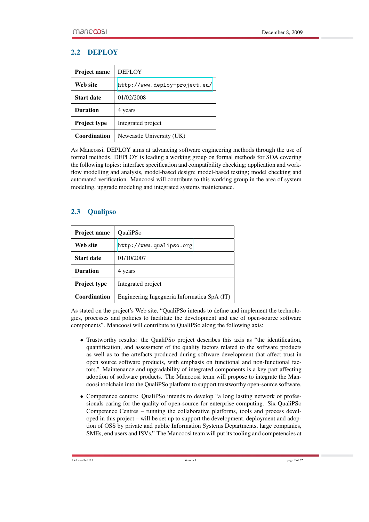#### <span id="page-4-0"></span>2.2 DEPLOY

| <b>Project name</b> | <b>DEPLOY</b>                 |
|---------------------|-------------------------------|
| Web site            | http://www.deploy-project.eu/ |
| <b>Start date</b>   | 01/02/2008                    |
| <b>Duration</b>     | 4 years                       |
| <b>Project type</b> | Integrated project            |
| Coordination        | Newcastle University (UK)     |

As Mancossi, DEPLOY aims at advancing software engineering methods through the use of formal methods. DEPLOY is leading a working group on formal methods for SOA covering the following topics: interface specification and compatibility checking; application and workflow modelling and analysis, model-based design; model-based testing; model checking and automated verification. Mancoosi will contribute to this working group in the area of system modeling, upgrade modeling and integrated systems maintenance.

#### <span id="page-4-1"></span>2.3 Qualipso

| <b>Project name</b> | <b>OualiPSo</b>                             |
|---------------------|---------------------------------------------|
| Web site            | http://www.qualipso.org                     |
| <b>Start date</b>   | 01/10/2007                                  |
| <b>Duration</b>     | 4 years                                     |
| <b>Project type</b> | Integrated project                          |
| Coordination        | Engineering Ingegneria Informatica SpA (IT) |

As stated on the project's Web site, "QualiPSo intends to define and implement the technologies, processes and policies to facilitate the development and use of open-source software components". Mancoosi will contribute to QualiPSo along the following axis:

- Trustworthy results: the QualiPSo project describes this axis as "the identification, quantification, and assessment of the quality factors related to the software products as well as to the artefacts produced during software development that affect trust in open source software products, with emphasis on functional and non-functional factors." Maintenance and upgradability of integrated components is a key part affecting adoption of software products. The Mancoosi team will propose to integrate the Mancoosi toolchain into the QualiPSo platform to support trustworthy open-source software.
- Competence centers: QualiPSo intends to develop "a long lasting network of professionals caring for the quality of open-source for enterprise computing. Six QualiPSo Competence Centres – running the collaborative platforms, tools and process developed in this project – will be set up to support the development, deployment and adoption of OSS by private and public Information Systems Departments, large companies, SMEs, end users and ISVs." The Mancoosi team will put its tooling and competencies at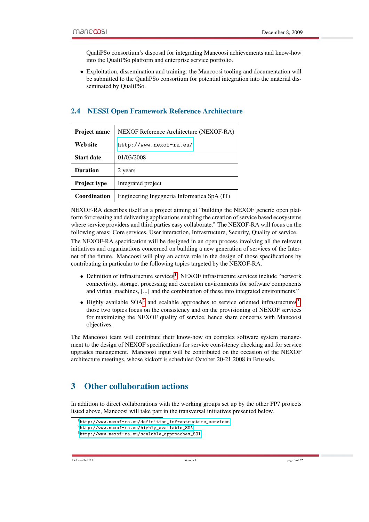QualiPSo consortium's disposal for integrating Mancoosi achievements and know-how into the QualiPSo platform and enterprise service portfolio.

• Exploitation, dissemination and training: the Mancoosi tooling and documentation will be submitted to the QualiPSo consortium for potential integration into the material disseminated by QualiPSo.

| <b>Project name</b> | NEXOF Reference Architecture (NEXOF-RA)     |
|---------------------|---------------------------------------------|
| Web site            | http://www.nexof-ra.eu/                     |
| <b>Start date</b>   | 01/03/2008                                  |
| <b>Duration</b>     | 2 years                                     |
| <b>Project type</b> | Integrated project                          |
| <b>Coordination</b> | Engineering Ingegneria Informatica SpA (IT) |

#### <span id="page-5-0"></span>2.4 NESSI Open Framework Reference Architecture

NEXOF-RA describes itself as a project aiming at "building the NEXOF generic open platform for creating and delivering applications enabling the creation of service based ecosystems where service providers and third parties easy collaborate." The NEXOF-RA will focus on the following areas: Core services, User interaction, Infrastructure, Security, Quality of service.

The NEXOF-RA specification will be designed in an open process involving all the relevant initiatives and organizations concerned on building a new generation of services of the Internet of the future. Mancoosi will play an active role in the design of those specifications by contributing in particular to the following topics targeted by the NEXOF-RA.

- Definition of infrastructure services<sup>[1](#page-5-2)</sup>: NEXOF infrastructure services include "network connectivity, storage, processing and execution environments for software components and virtual machines, [...] and the combination of these into integrated environments."
- $\bullet$  Highly available SOA<sup>[2](#page-5-3)</sup> and scalable approaches to service oriented infrastructures<sup>[3](#page-5-4)</sup>: those two topics focus on the consistency and on the provisioning of NEXOF services for maximizing the NEXOF quality of service, hence share concerns with Mancoosi objectives.

The Mancoosi team will contribute their know-how on complex software system management to the design of NEXOF specifications for service consistency checking and for service upgrades management. Mancoosi input will be contributed on the occasion of the NEXOF architecture meetings, whose kickoff is scheduled October 20-21 2008 in Brussels.

## <span id="page-5-1"></span>3 Other collaboration actions

In addition to direct collaborations with the working groups set up by the other FP7 projects listed above, Mancoosi will take part in the transversal initiatives presented below.

<span id="page-5-2"></span><sup>1</sup>[http://www.nexof-ra.eu/definition\\_infrastructure\\_services](http://www.nexof-ra.eu/definition_infrastructure_services)

<span id="page-5-3"></span><sup>2</sup>[http://www.nexof-ra.eu/highly\\_available\\_SOA](http://www.nexof-ra.eu/highly_available_SOA)

<span id="page-5-4"></span><sup>3</sup>[http://www.nexof-ra.eu/scalable\\_approaches\\_SOI](http://www.nexof-ra.eu/scalable_approaches_SOI)